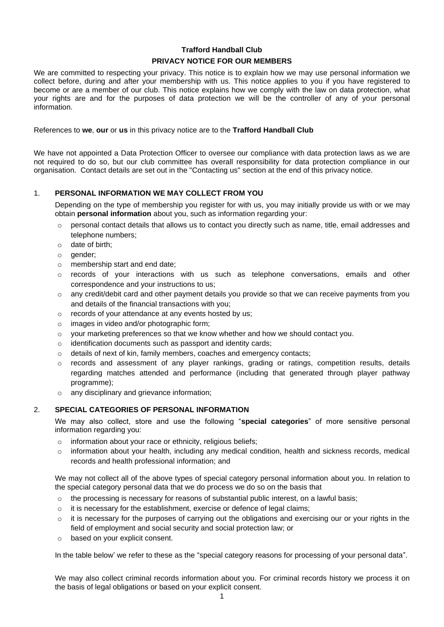# **Trafford Handball Club PRIVACY NOTICE FOR OUR MEMBERS**

We are committed to respecting your privacy. This notice is to explain how we may use personal information we collect before, during and after your membership with us. This notice applies to you if you have registered to become or are a member of our club. This notice explains how we comply with the law on data protection, what your rights are and for the purposes of data protection we will be the controller of any of your personal information.

#### References to **we**, **our** or **us** in this privacy notice are to the **Trafford Handball Club**

We have not appointed a Data Protection Officer to oversee our compliance with data protection laws as we are not required to do so, but our club committee has overall responsibility for data protection compliance in our organisation. Contact details are set out in the "Contacting us" section at the end of this privacy notice.

## 1. **PERSONAL INFORMATION WE MAY COLLECT FROM YOU**

Depending on the type of membership you register for with us, you may initially provide us with or we may obtain **personal information** about you, such as information regarding your:

- $\circ$  personal contact details that allows us to contact you directly such as name, title, email addresses and telephone numbers;
- o date of birth;
- o gender;
- o membership start and end date;
- $\circ$  records of your interactions with us such as telephone conversations, emails and other correspondence and your instructions to us;
- o any credit/debit card and other payment details you provide so that we can receive payments from you and details of the financial transactions with you;
- o records of your attendance at any events hosted by us;
- o images in video and/or photographic form;
- $\circ$  your marketing preferences so that we know whether and how we should contact you.
- o identification documents such as passport and identity cards;
- $\circ$  details of next of kin, family members, coaches and emergency contacts;
- $\circ$  records and assessment of any player rankings, grading or ratings, competition results, details regarding matches attended and performance (including that generated through player pathway programme);
- o any disciplinary and grievance information;

### 2. **SPECIAL CATEGORIES OF PERSONAL INFORMATION**

We may also collect, store and use the following "**special categories**" of more sensitive personal information regarding you:

- o information about your race or ethnicity, religious beliefs;
- $\circ$  information about your health, including any medical condition, health and sickness records, medical records and health professional information; and

We may not collect all of the above types of special category personal information about you. In relation to the special category personal data that we do process we do so on the basis that

- $\circ$  the processing is necessary for reasons of substantial public interest, on a lawful basis;
- o it is necessary for the establishment, exercise or defence of legal claims;
- $\circ$  it is necessary for the purposes of carrying out the obligations and exercising our or your rights in the field of employment and social security and social protection law; or
- o based on your explicit consent.

In the table below' we refer to these as the "special category reasons for processing of your personal data".

We may also collect criminal records information about you. For criminal records history we process it on the basis of legal obligations or based on your explicit consent.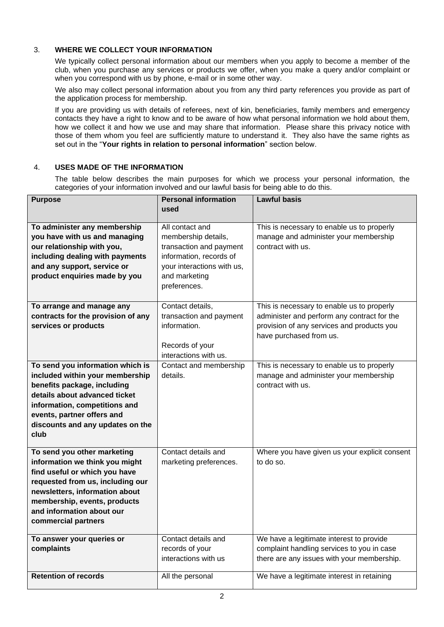## 3. **WHERE WE COLLECT YOUR INFORMATION**

We typically collect personal information about our members when you apply to become a member of the club, when you purchase any services or products we offer, when you make a query and/or complaint or when you correspond with us by phone, e-mail or in some other way.

We also may collect personal information about you from any third party references you provide as part of the application process for membership.

If you are providing us with details of referees, next of kin, beneficiaries, family members and emergency contacts they have a right to know and to be aware of how what personal information we hold about them, how we collect it and how we use and may share that information. Please share this privacy notice with those of them whom you feel are sufficiently mature to understand it. They also have the same rights as set out in the "**Your rights in relation to personal information**" section below.

## 4. **USES MADE OF THE INFORMATION**

The table below describes the main purposes for which we process your personal information, the categories of your information involved and our lawful basis for being able to do this.

| <b>Purpose</b>                     | <b>Personal information</b> | <b>Lawful basis</b>                           |
|------------------------------------|-----------------------------|-----------------------------------------------|
|                                    | used                        |                                               |
|                                    |                             |                                               |
| To administer any membership       | All contact and             | This is necessary to enable us to properly    |
| you have with us and managing      | membership details,         | manage and administer your membership         |
| our relationship with you,         | transaction and payment     | contract with us.                             |
| including dealing with payments    | information, records of     |                                               |
| and any support, service or        | your interactions with us,  |                                               |
| product enquiries made by you      | and marketing               |                                               |
|                                    | preferences.                |                                               |
| To arrange and manage any          | Contact details,            | This is necessary to enable us to properly    |
| contracts for the provision of any | transaction and payment     | administer and perform any contract for the   |
| services or products               | information.                | provision of any services and products you    |
|                                    |                             | have purchased from us.                       |
|                                    | Records of your             |                                               |
|                                    | interactions with us.       |                                               |
| To send you information which is   | Contact and membership      | This is necessary to enable us to properly    |
| included within your membership    | details.                    | manage and administer your membership         |
| benefits package, including        |                             | contract with us.                             |
| details about advanced ticket      |                             |                                               |
| information, competitions and      |                             |                                               |
| events, partner offers and         |                             |                                               |
| discounts and any updates on the   |                             |                                               |
| club                               |                             |                                               |
|                                    |                             |                                               |
| To send you other marketing        | Contact details and         | Where you have given us your explicit consent |
| information we think you might     | marketing preferences.      | to do so.                                     |
| find useful or which you have      |                             |                                               |
| requested from us, including our   |                             |                                               |
| newsletters, information about     |                             |                                               |
| membership, events, products       |                             |                                               |
| and information about our          |                             |                                               |
| commercial partners                |                             |                                               |
| To answer your queries or          | Contact details and         | We have a legitimate interest to provide      |
| complaints                         | records of your             | complaint handling services to you in case    |
|                                    | interactions with us        | there are any issues with your membership.    |
|                                    |                             |                                               |
| <b>Retention of records</b>        | All the personal            | We have a legitimate interest in retaining    |
|                                    |                             |                                               |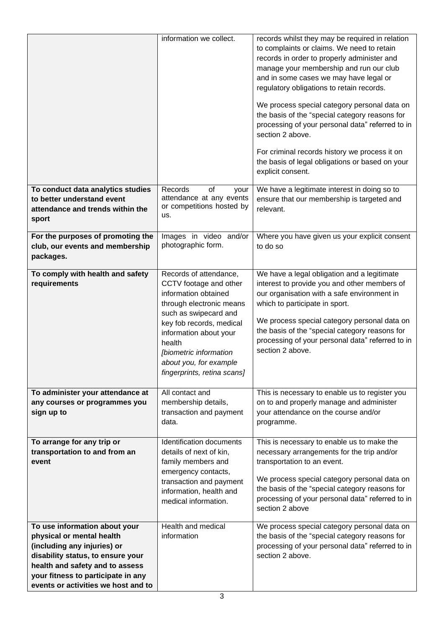|                                                                  | information we collect.                           | records whilst they may be required in relation<br>to complaints or claims. We need to retain<br>records in order to properly administer and<br>manage your membership and run our club<br>and in some cases we may have legal or<br>regulatory obligations to retain records.<br>We process special category personal data on<br>the basis of the "special category reasons for<br>processing of your personal data" referred to in<br>section 2 above.<br>For criminal records history we process it on<br>the basis of legal obligations or based on your<br>explicit consent. |
|------------------------------------------------------------------|---------------------------------------------------|-----------------------------------------------------------------------------------------------------------------------------------------------------------------------------------------------------------------------------------------------------------------------------------------------------------------------------------------------------------------------------------------------------------------------------------------------------------------------------------------------------------------------------------------------------------------------------------|
| To conduct data analytics studies<br>to better understand event  | Records<br>of<br>your<br>attendance at any events | We have a legitimate interest in doing so to<br>ensure that our membership is targeted and                                                                                                                                                                                                                                                                                                                                                                                                                                                                                        |
| attendance and trends within the                                 | or competitions hosted by                         | relevant.                                                                                                                                                                                                                                                                                                                                                                                                                                                                                                                                                                         |
| sport                                                            | us.                                               |                                                                                                                                                                                                                                                                                                                                                                                                                                                                                                                                                                                   |
| For the purposes of promoting the                                | Images in video and/or                            | Where you have given us your explicit consent                                                                                                                                                                                                                                                                                                                                                                                                                                                                                                                                     |
| club, our events and membership                                  | photographic form.                                | to do so                                                                                                                                                                                                                                                                                                                                                                                                                                                                                                                                                                          |
| packages.                                                        |                                                   |                                                                                                                                                                                                                                                                                                                                                                                                                                                                                                                                                                                   |
| To comply with health and safety                                 | Records of attendance,                            | We have a legal obligation and a legitimate                                                                                                                                                                                                                                                                                                                                                                                                                                                                                                                                       |
| requirements                                                     | CCTV footage and other                            | interest to provide you and other members of                                                                                                                                                                                                                                                                                                                                                                                                                                                                                                                                      |
|                                                                  | information obtained                              | our organisation with a safe environment in                                                                                                                                                                                                                                                                                                                                                                                                                                                                                                                                       |
|                                                                  | through electronic means<br>such as swipecard and | which to participate in sport.                                                                                                                                                                                                                                                                                                                                                                                                                                                                                                                                                    |
|                                                                  | key fob records, medical                          | We process special category personal data on                                                                                                                                                                                                                                                                                                                                                                                                                                                                                                                                      |
|                                                                  | information about your                            | the basis of the "special category reasons for                                                                                                                                                                                                                                                                                                                                                                                                                                                                                                                                    |
|                                                                  | health                                            | processing of your personal data" referred to in<br>section 2 above.                                                                                                                                                                                                                                                                                                                                                                                                                                                                                                              |
|                                                                  | [biometric information<br>about you, for example  |                                                                                                                                                                                                                                                                                                                                                                                                                                                                                                                                                                                   |
|                                                                  | fingerprints, retina scans]                       |                                                                                                                                                                                                                                                                                                                                                                                                                                                                                                                                                                                   |
|                                                                  |                                                   |                                                                                                                                                                                                                                                                                                                                                                                                                                                                                                                                                                                   |
| To administer your attendance at                                 | All contact and                                   | This is necessary to enable us to register you                                                                                                                                                                                                                                                                                                                                                                                                                                                                                                                                    |
| any courses or programmes you<br>sign up to                      | membership details,<br>transaction and payment    | on to and properly manage and administer<br>your attendance on the course and/or                                                                                                                                                                                                                                                                                                                                                                                                                                                                                                  |
|                                                                  | data.                                             | programme.                                                                                                                                                                                                                                                                                                                                                                                                                                                                                                                                                                        |
|                                                                  |                                                   |                                                                                                                                                                                                                                                                                                                                                                                                                                                                                                                                                                                   |
| To arrange for any trip or                                       | Identification documents                          | This is necessary to enable us to make the                                                                                                                                                                                                                                                                                                                                                                                                                                                                                                                                        |
| transportation to and from an<br>event                           | details of next of kin,<br>family members and     | necessary arrangements for the trip and/or<br>transportation to an event.                                                                                                                                                                                                                                                                                                                                                                                                                                                                                                         |
|                                                                  | emergency contacts,                               |                                                                                                                                                                                                                                                                                                                                                                                                                                                                                                                                                                                   |
|                                                                  | transaction and payment                           | We process special category personal data on                                                                                                                                                                                                                                                                                                                                                                                                                                                                                                                                      |
|                                                                  | information, health and                           | the basis of the "special category reasons for                                                                                                                                                                                                                                                                                                                                                                                                                                                                                                                                    |
|                                                                  | medical information.                              | processing of your personal data" referred to in<br>section 2 above                                                                                                                                                                                                                                                                                                                                                                                                                                                                                                               |
|                                                                  |                                                   |                                                                                                                                                                                                                                                                                                                                                                                                                                                                                                                                                                                   |
| To use information about your                                    | Health and medical                                | We process special category personal data on                                                                                                                                                                                                                                                                                                                                                                                                                                                                                                                                      |
| physical or mental health                                        | information                                       | the basis of the "special category reasons for                                                                                                                                                                                                                                                                                                                                                                                                                                                                                                                                    |
| (including any injuries) or<br>disability status, to ensure your |                                                   | processing of your personal data" referred to in<br>section 2 above.                                                                                                                                                                                                                                                                                                                                                                                                                                                                                                              |
| health and safety and to assess                                  |                                                   |                                                                                                                                                                                                                                                                                                                                                                                                                                                                                                                                                                                   |
| your fitness to participate in any                               |                                                   |                                                                                                                                                                                                                                                                                                                                                                                                                                                                                                                                                                                   |
| events or activities we host and to                              |                                                   |                                                                                                                                                                                                                                                                                                                                                                                                                                                                                                                                                                                   |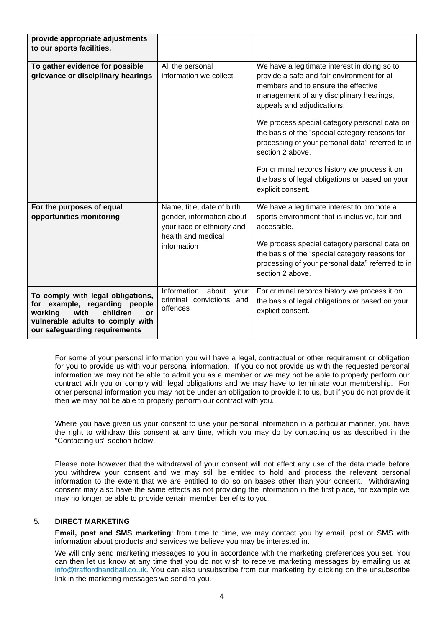| provide appropriate adjustments                                                                                                                                                     |                                                                                                                            |                                                                                                                                                                                                                                                                                                                                                                                        |
|-------------------------------------------------------------------------------------------------------------------------------------------------------------------------------------|----------------------------------------------------------------------------------------------------------------------------|----------------------------------------------------------------------------------------------------------------------------------------------------------------------------------------------------------------------------------------------------------------------------------------------------------------------------------------------------------------------------------------|
| to our sports facilities.                                                                                                                                                           |                                                                                                                            |                                                                                                                                                                                                                                                                                                                                                                                        |
|                                                                                                                                                                                     |                                                                                                                            |                                                                                                                                                                                                                                                                                                                                                                                        |
| To gather evidence for possible<br>grievance or disciplinary hearings                                                                                                               | All the personal<br>information we collect                                                                                 | We have a legitimate interest in doing so to<br>provide a safe and fair environment for all<br>members and to ensure the effective<br>management of any disciplinary hearings,<br>appeals and adjudications.<br>We process special category personal data on<br>the basis of the "special category reasons for<br>processing of your personal data" referred to in<br>section 2 above. |
|                                                                                                                                                                                     |                                                                                                                            | For criminal records history we process it on<br>the basis of legal obligations or based on your<br>explicit consent.                                                                                                                                                                                                                                                                  |
| For the purposes of equal<br>opportunities monitoring                                                                                                                               | Name, title, date of birth<br>gender, information about<br>your race or ethnicity and<br>health and medical<br>information | We have a legitimate interest to promote a<br>sports environment that is inclusive, fair and<br>accessible.<br>We process special category personal data on<br>the basis of the "special category reasons for<br>processing of your personal data" referred to in<br>section 2 above.                                                                                                  |
| To comply with legal obligations,<br>for example, regarding people<br>children<br>working<br>with<br><b>or</b><br>vulnerable adults to comply with<br>our safeguarding requirements | Information<br>about<br>your<br>criminal convictions and<br>offences                                                       | For criminal records history we process it on<br>the basis of legal obligations or based on your<br>explicit consent.                                                                                                                                                                                                                                                                  |

For some of your personal information you will have a legal, contractual or other requirement or obligation for you to provide us with your personal information. If you do not provide us with the requested personal information we may not be able to admit you as a member or we may not be able to properly perform our contract with you or comply with legal obligations and we may have to terminate your membership. For other personal information you may not be under an obligation to provide it to us, but if you do not provide it then we may not be able to properly perform our contract with you.

Where you have given us your consent to use your personal information in a particular manner, you have the right to withdraw this consent at any time, which you may do by contacting us as described in the "Contacting us" section below.

Please note however that the withdrawal of your consent will not affect any use of the data made before you withdrew your consent and we may still be entitled to hold and process the relevant personal information to the extent that we are entitled to do so on bases other than your consent. Withdrawing consent may also have the same effects as not providing the information in the first place, for example we may no longer be able to provide certain member benefits to you.

## 5. **DIRECT MARKETING**

**Email, post and SMS marketing**: from time to time, we may contact you by email, post or SMS with information about products and services we believe you may be interested in.

We will only send marketing messages to you in accordance with the marketing preferences you set. You can then let us know at any time that you do not wish to receive marketing messages by emailing us at info@traffordhandball.co.uk. You can also unsubscribe from our marketing by clicking on the unsubscribe link in the marketing messages we send to you.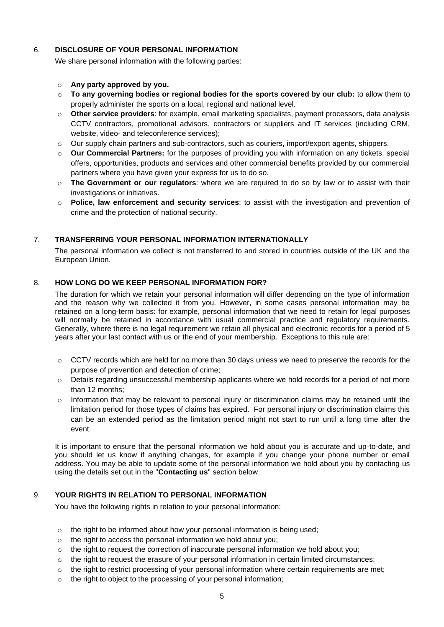## 6. **DISCLOSURE OF YOUR PERSONAL INFORMATION**

We share personal information with the following parties:

#### o **Any party approved by you.**

- o **To any governing bodies or regional bodies for the sports covered by our club:** to allow them to properly administer the sports on a local, regional and national level.
- o **Other service providers**: for example, email marketing specialists, payment processors, data analysis CCTV contractors, promotional advisors, contractors or suppliers and IT services (including CRM, website, video- and teleconference services);
- $\circ$  Our supply chain partners and sub-contractors, such as couriers, import/export agents, shippers.
- o **Our Commercial Partners:** for the purposes of providing you with information on any tickets, special offers, opportunities, products and services and other commercial benefits provided by our commercial partners where you have given your express for us to do so.
- o **The Government or our regulators**: where we are required to do so by law or to assist with their investigations or initiatives.
- o **Police, law enforcement and security services**: to assist with the investigation and prevention of crime and the protection of national security.

## 7. **TRANSFERRING YOUR PERSONAL INFORMATION INTERNATIONALLY**

The personal information we collect is not transferred to and stored in countries outside of the UK and the European Union.

## 8. **HOW LONG DO WE KEEP PERSONAL INFORMATION FOR?**

The duration for which we retain your personal information will differ depending on the type of information and the reason why we collected it from you. However, in some cases personal information may be retained on a long-term basis: for example, personal information that we need to retain for legal purposes will normally be retained in accordance with usual commercial practice and regulatory requirements. Generally, where there is no legal requirement we retain all physical and electronic records for a period of 5 years after your last contact with us or the end of your membership. Exceptions to this rule are:

- $\circ$  CCTV records which are held for no more than 30 days unless we need to preserve the records for the purpose of prevention and detection of crime;
- $\circ$  Details regarding unsuccessful membership applicants where we hold records for a period of not more than 12 months;
- $\circ$  Information that may be relevant to personal injury or discrimination claims may be retained until the limitation period for those types of claims has expired. For personal injury or discrimination claims this can be an extended period as the limitation period might not start to run until a long time after the event.

It is important to ensure that the personal information we hold about you is accurate and up-to-date, and you should let us know if anything changes, for example if you change your phone number or email address. You may be able to update some of the personal information we hold about you by contacting us using the details set out in the "**Contacting us**" section below.

### 9. **YOUR RIGHTS IN RELATION TO PERSONAL INFORMATION**

You have the following rights in relation to your personal information:

- o the right to be informed about how your personal information is being used;
- o the right to access the personal information we hold about you;
- $\circ$  the right to request the correction of inaccurate personal information we hold about you;
- $\circ$  the right to request the erasure of your personal information in certain limited circumstances;
- $\circ$  the right to restrict processing of your personal information where certain requirements are met;
- o the right to object to the processing of your personal information;